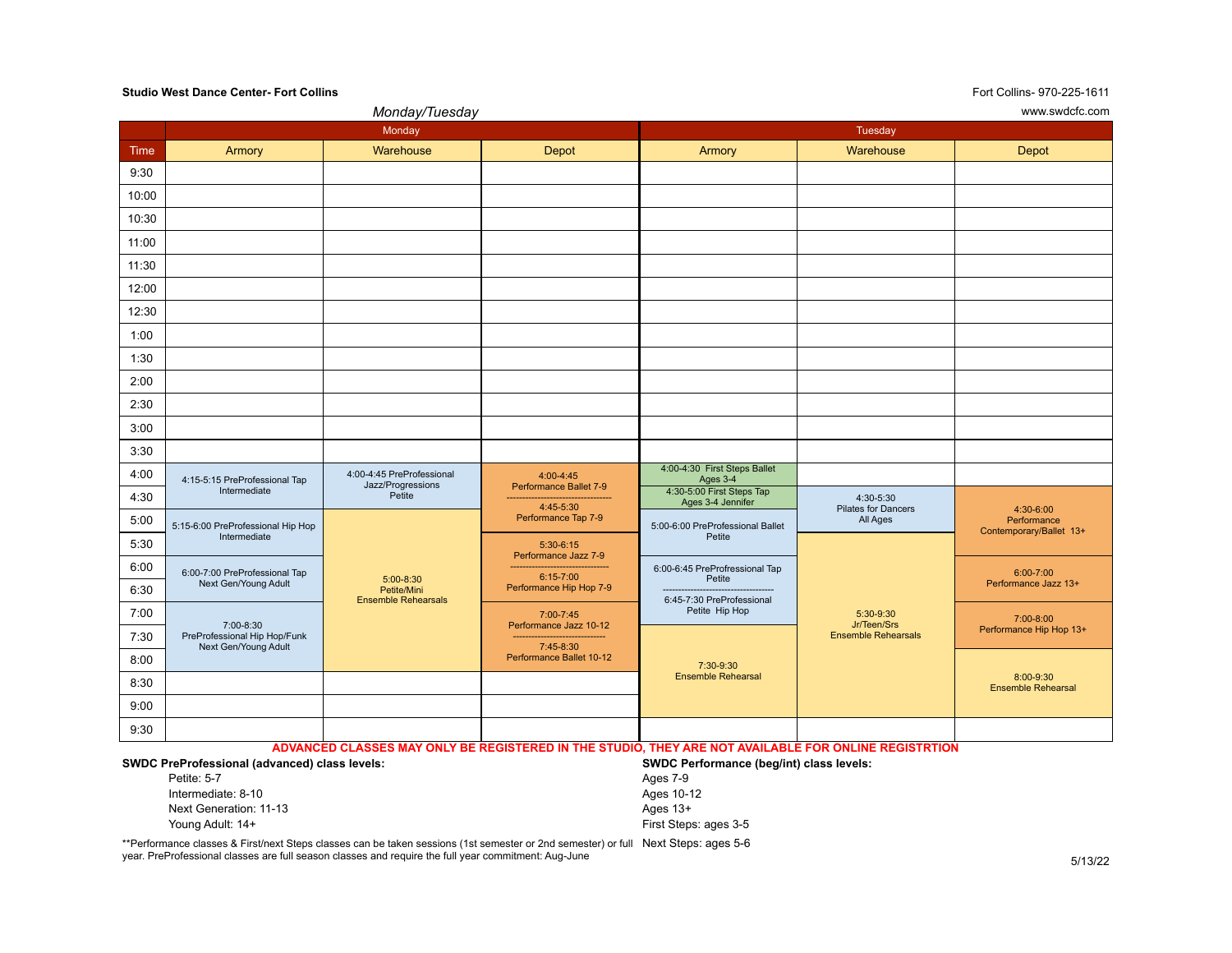## **Studio West Dance Center- Fort Collins** Fort Collins- 970-225-1611

|       |                                                                   | Monday/Tuesday                                           |                                                                                         | www.swdcfc.com                                                                          |                                                        |                                                     |  |
|-------|-------------------------------------------------------------------|----------------------------------------------------------|-----------------------------------------------------------------------------------------|-----------------------------------------------------------------------------------------|--------------------------------------------------------|-----------------------------------------------------|--|
|       |                                                                   | Monday                                                   |                                                                                         | Tuesday                                                                                 |                                                        |                                                     |  |
| Time  | Armory                                                            | Warehouse                                                | Depot                                                                                   | Armory                                                                                  | Warehouse                                              | Depot                                               |  |
| 9:30  |                                                                   |                                                          |                                                                                         |                                                                                         |                                                        |                                                     |  |
| 10:00 |                                                                   |                                                          |                                                                                         |                                                                                         |                                                        |                                                     |  |
| 10:30 |                                                                   |                                                          |                                                                                         |                                                                                         |                                                        |                                                     |  |
| 11:00 |                                                                   |                                                          |                                                                                         |                                                                                         |                                                        |                                                     |  |
| 11:30 |                                                                   |                                                          |                                                                                         |                                                                                         |                                                        |                                                     |  |
| 12:00 |                                                                   |                                                          |                                                                                         |                                                                                         |                                                        |                                                     |  |
| 12:30 |                                                                   |                                                          |                                                                                         |                                                                                         |                                                        |                                                     |  |
| 1:00  |                                                                   |                                                          |                                                                                         |                                                                                         |                                                        |                                                     |  |
| 1:30  |                                                                   |                                                          |                                                                                         |                                                                                         |                                                        |                                                     |  |
| 2:00  |                                                                   |                                                          |                                                                                         |                                                                                         |                                                        |                                                     |  |
| 2:30  |                                                                   |                                                          |                                                                                         |                                                                                         |                                                        |                                                     |  |
| 3:00  |                                                                   |                                                          |                                                                                         |                                                                                         |                                                        |                                                     |  |
| 3:30  |                                                                   |                                                          |                                                                                         |                                                                                         |                                                        |                                                     |  |
| 4:00  | 4:15-5:15 PreProfessional Tap                                     | 4:00-4:45 PreProfessional<br>Jazz/Progressions<br>Petite | $4:00 - 4:45$<br>Performance Ballet 7-9<br>4:45-5:30<br>Performance Tap 7-9             | 4:00-4:30 First Steps Ballet<br>Ages 3-4                                                |                                                        |                                                     |  |
| 4:30  | Intermediate                                                      |                                                          |                                                                                         | 4:30-5:00 First Steps Tap<br>Ages 3-4 Jennifer                                          | 4:30-5:30<br>Pilates for Dancers<br>All Ages           |                                                     |  |
| 5:00  | 5:15-6:00 PreProfessional Hip Hop                                 |                                                          |                                                                                         | 5:00-6:00 PreProfessional Ballet                                                        |                                                        | 4:30-6:00<br>Performance<br>Contemporary/Ballet 13+ |  |
| 5:30  | Intermediate                                                      |                                                          | $5:30-6:15$                                                                             | Petite                                                                                  |                                                        |                                                     |  |
| 6:00  | 6:00-7:00 PreProfessional Tap                                     | 5:00-8:30<br>Petite/Mini<br><b>Ensemble Rehearsals</b>   | Performance Jazz 7-9<br>-------------------<br>$6:15 - 7:00$<br>Performance Hip Hop 7-9 | 6:00-6:45 PreProfressional Tap<br>Petite<br>6:45-7:30 PreProfessional<br>Petite Hip Hop | 5:30-9:30<br>Jr/Teen/Srs<br><b>Ensemble Rehearsals</b> | $6:00 - 7:00$<br>Performance Jazz 13+               |  |
| 6:30  | Next Gen/Young Adult                                              |                                                          |                                                                                         |                                                                                         |                                                        |                                                     |  |
| 7:00  |                                                                   |                                                          | 7:00-7:45                                                                               |                                                                                         |                                                        | 7:00-8:00<br>Performance Hip Hop 13+                |  |
| 7:30  | 7:00-8:30<br>PreProfessional Hip Hop/Funk<br>Next Gen/Young Adult |                                                          | Performance Jazz 10-12                                                                  | 7:45-8:30<br>Performance Ballet 10-12<br>7:30-9:30<br><b>Ensemble Rehearsal</b>         |                                                        |                                                     |  |
| 8:00  |                                                                   |                                                          |                                                                                         |                                                                                         |                                                        | 8:00-9:30<br><b>Ensemble Rehearsal</b>              |  |
| 8:30  |                                                                   |                                                          |                                                                                         |                                                                                         |                                                        |                                                     |  |
| 9:00  |                                                                   |                                                          |                                                                                         |                                                                                         |                                                        |                                                     |  |
| 9:30  |                                                                   |                                                          |                                                                                         |                                                                                         |                                                        |                                                     |  |

**ADVANCED CLASSES MAY ONLY BE REGISTERED IN THE STUDIO, THEY ARE NOT AVAILABLE FOR ONLINE REGISTRTION**

| <b>SWDC PreProfessional (advanced) class levels:</b> | SWDC Performance (beg/int) class levels: |  |  |
|------------------------------------------------------|------------------------------------------|--|--|
| Petite: 5-7                                          | Ages 7-9                                 |  |  |
| Intermediate: 8-10                                   | Ages 10-12                               |  |  |
| Next Generation: 11-13                               | Ages $13+$                               |  |  |
| Young Adult: 14+                                     | First Steps: ages 3-5                    |  |  |

\*\*Performance classes & First/next Steps classes can be taken sessions (1st semester or 2nd semester) or full Next Steps: ages 5-6 year. PreProfessional classes are full season classes and require the full year commitment: Aug-June